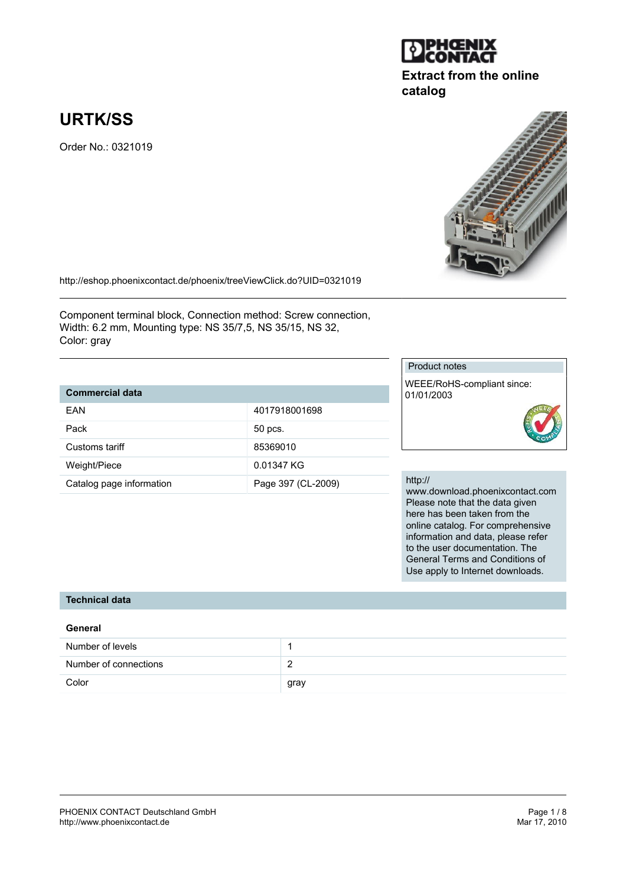#### PHOENIX CONTACT Deutschland GmbH Page 1 / 8 http://www.phoenixcontact.de

# **URTK/SS**

Order No.: 0321019

http://eshop.phoenixcontact.de/phoenix/treeViewClick.do?UID=0321019

Component terminal block, Connection method: Screw connection, Width: 6.2 mm, Mounting type: NS 35/7,5, NS 35/15, NS 32, Color: gray

# **Commercial data**

| FAN                      | 4017918001698      |
|--------------------------|--------------------|
| Pack                     | 50 pcs.            |
| Customs tariff           | 85369010           |
| Weight/Piece             | 0.01347 KG         |
| Catalog page information | Page 397 (CL-2009) |

## Product notes

WEEE/RoHS-compliant since: 01/01/2003

#### http://

www.download.phoenixcontact.com Please note that the data given here has been taken from the online catalog. For comprehensive information and data, please refer to the user documentation. The General Terms and Conditions of Use apply to Internet downloads.

#### **Technical data**

| General               |      |
|-----------------------|------|
| Number of levels      |      |
| Number of connections |      |
| Color                 | gray |



**catalog**

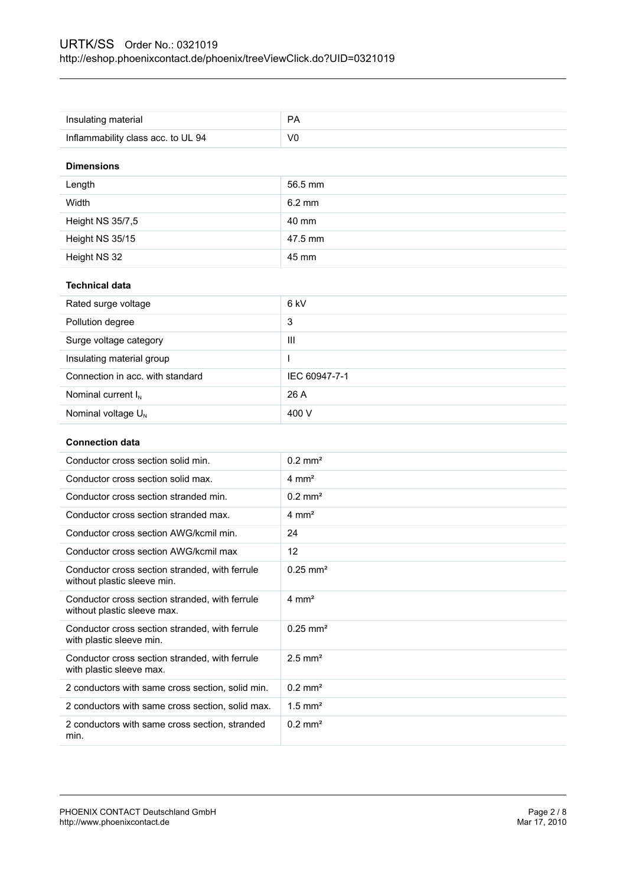| Insulating material                                                           | <b>PA</b>              |
|-------------------------------------------------------------------------------|------------------------|
| Inflammability class acc. to UL 94                                            | V <sub>0</sub>         |
| <b>Dimensions</b>                                                             |                        |
| Length                                                                        | 56.5 mm                |
| Width                                                                         | $6.2 \text{ mm}$       |
| Height NS 35/7,5                                                              | 40 mm                  |
| Height NS 35/15                                                               | 47.5 mm                |
| Height NS 32                                                                  | 45 mm                  |
| <b>Technical data</b>                                                         |                        |
| Rated surge voltage                                                           | 6 kV                   |
| Pollution degree                                                              | 3                      |
| Surge voltage category                                                        | III                    |
| Insulating material group                                                     |                        |
| Connection in acc. with standard                                              | IEC 60947-7-1          |
| Nominal current $I_N$                                                         | 26 A                   |
| Nominal voltage U <sub>N</sub>                                                | 400 V                  |
| <b>Connection data</b>                                                        |                        |
|                                                                               |                        |
| Conductor cross section solid min.                                            | $0.2 \text{ mm}^2$     |
| Conductor cross section solid max.                                            | $4 \text{ mm}^2$       |
| Conductor cross section stranded min.                                         | $0.2$ mm <sup>2</sup>  |
| Conductor cross section stranded max.                                         | $4 \text{ mm}^2$       |
| Conductor cross section AWG/kcmil min.                                        | 24                     |
| Conductor cross section AWG/kcmil max                                         | 12                     |
| Conductor cross section stranded, with ferrule<br>without plastic sleeve min. | $0.25$ mm <sup>2</sup> |
| Conductor cross section stranded, with ferrule<br>without plastic sleeve max. | $4 \, \text{mm}^2$     |
| Conductor cross section stranded, with ferrule<br>with plastic sleeve min.    | $0.25$ mm <sup>2</sup> |
| Conductor cross section stranded, with ferrule<br>with plastic sleeve max.    | $2.5$ mm <sup>2</sup>  |
| 2 conductors with same cross section, solid min.                              | $0.2$ mm <sup>2</sup>  |
| 2 conductors with same cross section, solid max.                              | $1.5$ mm <sup>2</sup>  |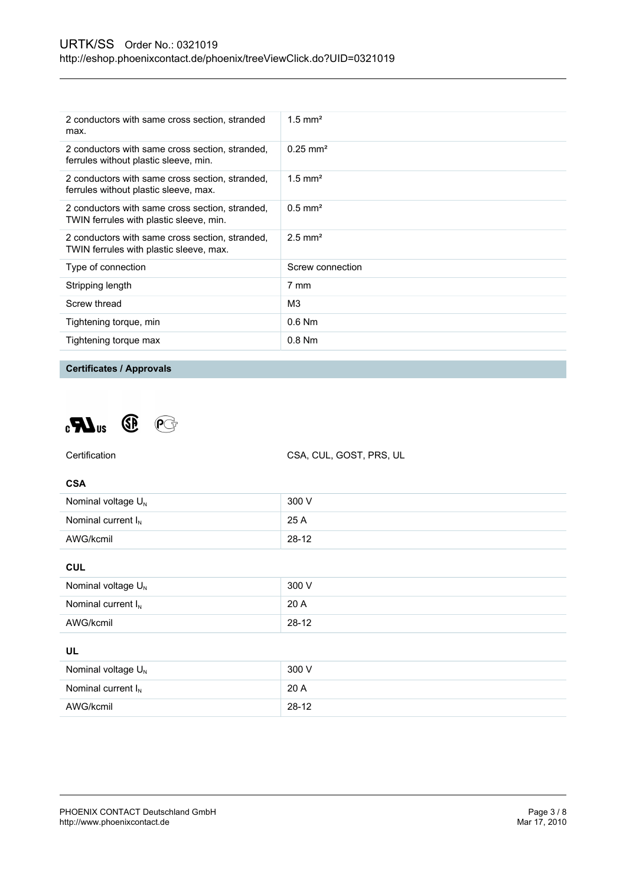| 2 conductors with same cross section, stranded<br>max.                                     | $1.5$ mm <sup>2</sup>  |
|--------------------------------------------------------------------------------------------|------------------------|
| 2 conductors with same cross section, stranded,<br>ferrules without plastic sleeve, min.   | $0.25$ mm <sup>2</sup> |
| 2 conductors with same cross section, stranded,<br>ferrules without plastic sleeve, max.   | $1.5$ mm <sup>2</sup>  |
| 2 conductors with same cross section, stranded,<br>TWIN ferrules with plastic sleeve, min. | $0.5$ mm <sup>2</sup>  |
| 2 conductors with same cross section, stranded,<br>TWIN ferrules with plastic sleeve, max. | $2.5$ mm <sup>2</sup>  |
| Type of connection                                                                         | Screw connection       |
| Stripping length                                                                           | 7 mm                   |
| Screw thread                                                                               | M <sub>3</sub>         |
| Tightening torque, min                                                                     | $0.6$ Nm               |
| Tightening torque max                                                                      | $0.8$ Nm               |
|                                                                                            |                        |

#### **Certificates / Approvals**





AWG/kcmil 28-12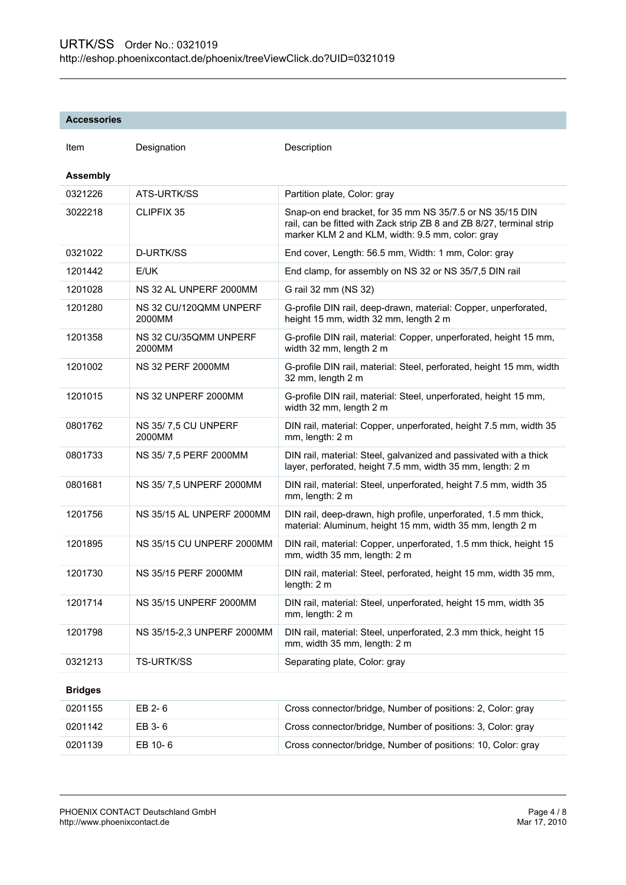#### **Accessories**

| Item            | Designation                      | Description                                                                                                                                                                          |
|-----------------|----------------------------------|--------------------------------------------------------------------------------------------------------------------------------------------------------------------------------------|
| <b>Assembly</b> |                                  |                                                                                                                                                                                      |
| 0321226         | ATS-URTK/SS                      | Partition plate, Color: gray                                                                                                                                                         |
| 3022218         | CLIPFIX 35                       | Snap-on end bracket, for 35 mm NS 35/7.5 or NS 35/15 DIN<br>rail, can be fitted with Zack strip ZB 8 and ZB 8/27, terminal strip<br>marker KLM 2 and KLM, width: 9.5 mm, color: gray |
| 0321022         | D-URTK/SS                        | End cover, Length: 56.5 mm, Width: 1 mm, Color: gray                                                                                                                                 |
| 1201442         | E/UK                             | End clamp, for assembly on NS 32 or NS 35/7,5 DIN rail                                                                                                                               |
| 1201028         | NS 32 AL UNPERF 2000MM           | G rail 32 mm (NS 32)                                                                                                                                                                 |
| 1201280         | NS 32 CU/120QMM UNPERF<br>2000MM | G-profile DIN rail, deep-drawn, material: Copper, unperforated,<br>height 15 mm, width 32 mm, length 2 m                                                                             |
| 1201358         | NS 32 CU/35QMM UNPERF<br>2000MM  | G-profile DIN rail, material: Copper, unperforated, height 15 mm,<br>width 32 mm, length 2 m                                                                                         |
| 1201002         | <b>NS 32 PERF 2000MM</b>         | G-profile DIN rail, material: Steel, perforated, height 15 mm, width<br>32 mm, length 2 m                                                                                            |
| 1201015         | NS 32 UNPERF 2000MM              | G-profile DIN rail, material: Steel, unperforated, height 15 mm,<br>width 32 mm, length 2 m                                                                                          |
| 0801762         | NS 35/7,5 CU UNPERF<br>2000MM    | DIN rail, material: Copper, unperforated, height 7.5 mm, width 35<br>mm, length: 2 m                                                                                                 |
| 0801733         | NS 35/7,5 PERF 2000MM            | DIN rail, material: Steel, galvanized and passivated with a thick<br>layer, perforated, height 7.5 mm, width 35 mm, length: 2 m                                                      |
| 0801681         | NS 35/7,5 UNPERF 2000MM          | DIN rail, material: Steel, unperforated, height 7.5 mm, width 35<br>mm, length: 2 m                                                                                                  |
| 1201756         | NS 35/15 AL UNPERF 2000MM        | DIN rail, deep-drawn, high profile, unperforated, 1.5 mm thick,<br>material: Aluminum, height 15 mm, width 35 mm, length 2 m                                                         |
| 1201895         | NS 35/15 CU UNPERF 2000MM        | DIN rail, material: Copper, unperforated, 1.5 mm thick, height 15<br>mm, width 35 mm, length: 2 m                                                                                    |
| 1201730         | NS 35/15 PERF 2000MM             | DIN rail, material: Steel, perforated, height 15 mm, width 35 mm,<br>length: 2 m                                                                                                     |
| 1201714         | NS 35/15 UNPERF 2000MM           | DIN rail, material: Steel, unperforated, height 15 mm, width 35<br>mm, length: 2 m                                                                                                   |
| 1201798         | NS 35/15-2,3 UNPERF 2000MM       | DIN rail, material: Steel, unperforated, 2.3 mm thick, height 15<br>mm, width 35 mm, length: 2 m                                                                                     |
| 0321213         | <b>TS-URTK/SS</b>                | Separating plate, Color: gray                                                                                                                                                        |
| <b>Bridges</b>  |                                  |                                                                                                                                                                                      |
| 0201155         | EB 2-6                           | Cross connector/bridge, Number of positions: 2, Color: gray                                                                                                                          |
| 0201142         | EB 3-6                           | Cross connector/bridge, Number of positions: 3, Color: gray                                                                                                                          |
| 0201139         | EB 10-6                          | Cross connector/bridge, Number of positions: 10, Color: gray                                                                                                                         |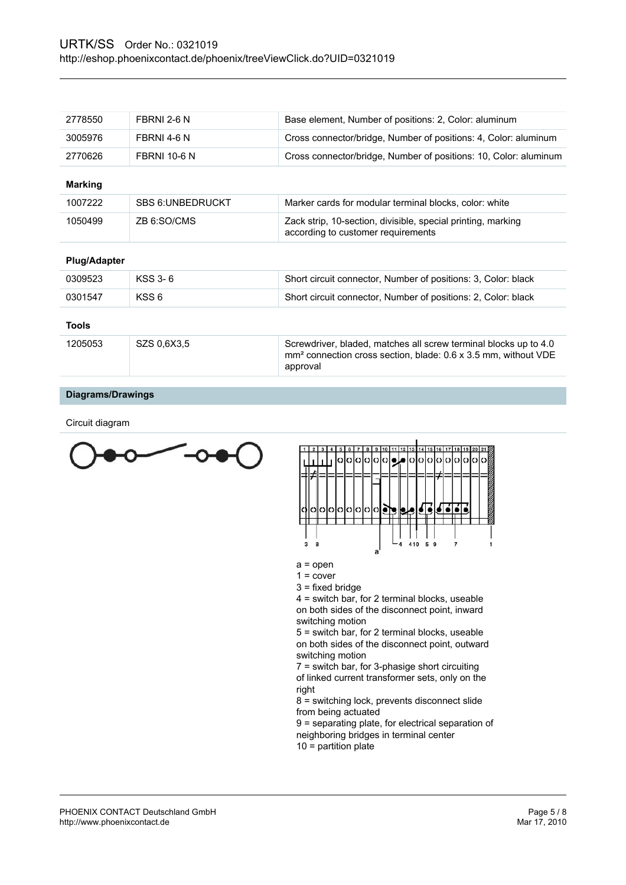| 2778550 | FBRNI 2-6 N         | Base element, Number of positions: 2, Color: aluminum            |
|---------|---------------------|------------------------------------------------------------------|
| 3005976 | FBRNI 4-6 N         | Cross connector/bridge, Number of positions: 4, Color: aluminum  |
| 2770626 | <b>FBRNI 10-6 N</b> | Cross connector/bridge, Number of positions: 10, Color: aluminum |

### **Marking**

| 1007222 | <b>SBS 6: UNBEDRUCKT</b> | Marker cards for modular terminal blocks, color: white                                             |
|---------|--------------------------|----------------------------------------------------------------------------------------------------|
| 1050499 | ZB 6:SO/CMS              | Zack strip, 10-section, divisible, special printing, marking<br>according to customer requirements |

#### **Plug/Adapter**

| 0309523 | KSS 3-6     | Short circuit connector, Number of positions: 3, Color: black                                                                                              |
|---------|-------------|------------------------------------------------------------------------------------------------------------------------------------------------------------|
| 0301547 | KSS 6       | Short circuit connector, Number of positions: 2, Color: black                                                                                              |
| Tools   |             |                                                                                                                                                            |
| 1205053 | SZS 0.6X3.5 | Screwdriver, bladed, matches all screw terminal blocks up to 4.0<br>mm <sup>2</sup> connection cross section, blade: 0.6 x 3.5 mm, without VDE<br>approval |

#### **Diagrams/Drawings**

Circuit diagram





a = open

- $1 = cover$
- 3 = fixed bridge

4 = switch bar, for 2 terminal blocks, useable on both sides of the disconnect point, inward switching motion

5 = switch bar, for 2 terminal blocks, useable on both sides of the disconnect point, outward switching motion

7 = switch bar, for 3-phasige short circuiting of linked current transformer sets, only on the right

8 = switching lock, prevents disconnect slide from being actuated

9 = separating plate, for electrical separation of neighboring bridges in terminal center

10 = partition plate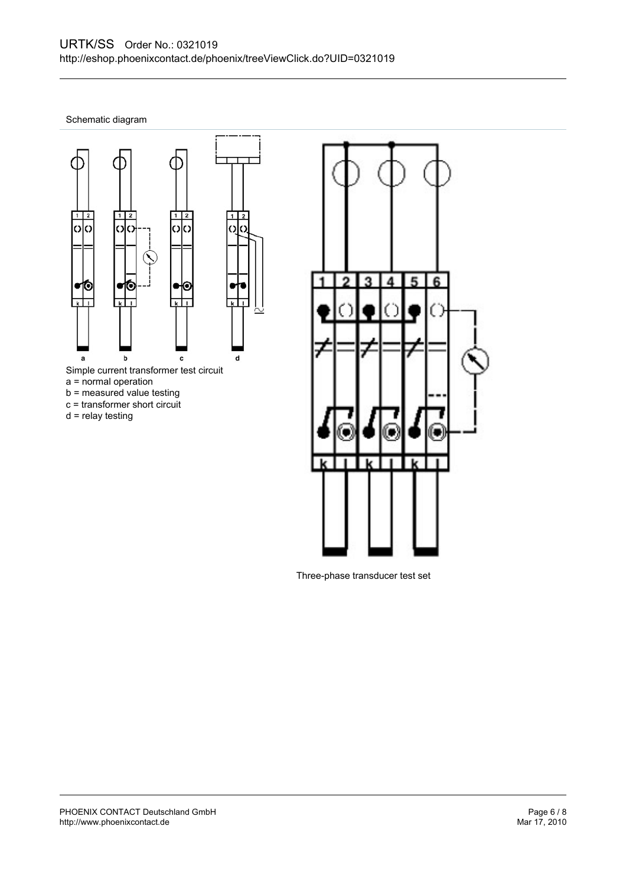Schematic diagram



- b = measured value testing
- c = transformer short circuit
- d = relay testing



Three-phase transducer test set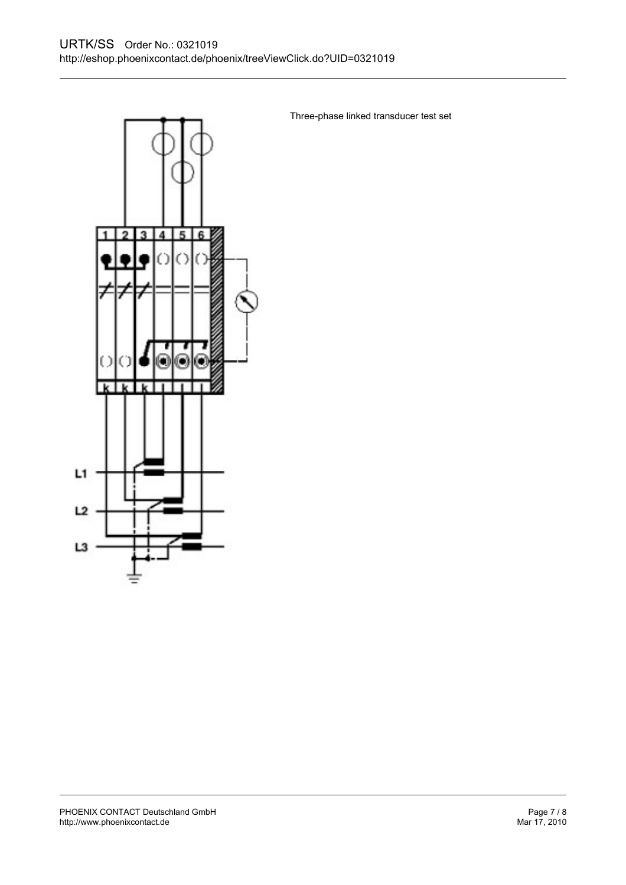

Three-phase linked transducer test set